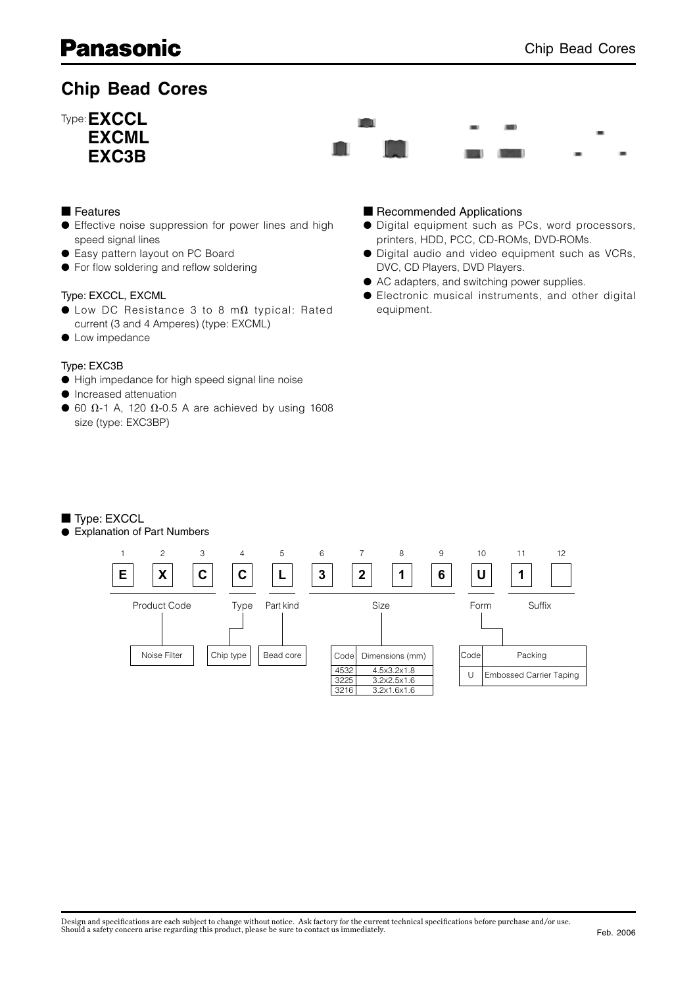# **Chip Bead Cores**



# ■ Features

- Effective noise suppression for power lines and high speed signal lines
- Easy pattern layout on PC Board
- For flow soldering and reflow soldering

### Type: EXCCL, EXCML

- $\bullet$  Low DC Resistance 3 to 8 m $\Omega$  typical: Rated current (3 and 4 Amperes) (type: EXCML)
- Low impedance

### Type: EXC3B

- High impedance for high speed signal line noise
- Increased attenuation
- $\bullet$  60  $\Omega$ -1 A, 120  $\Omega$ -0.5 A are achieved by using 1608 size (type: EXC3BP)

# ■ Recommended Applications

- Digital equipment such as PCs, word processors, printers, HDD, PCC, CD-ROMs, DVD-ROMs.
- Digital audio and video equipment such as VCRs, DVC, CD Players, DVD Players.
- AC adapters, and switching power supplies.
- Electronic musical instruments, and other digital equipment.

### ■ Type: EXCCL

● Explanation of Part Numbers

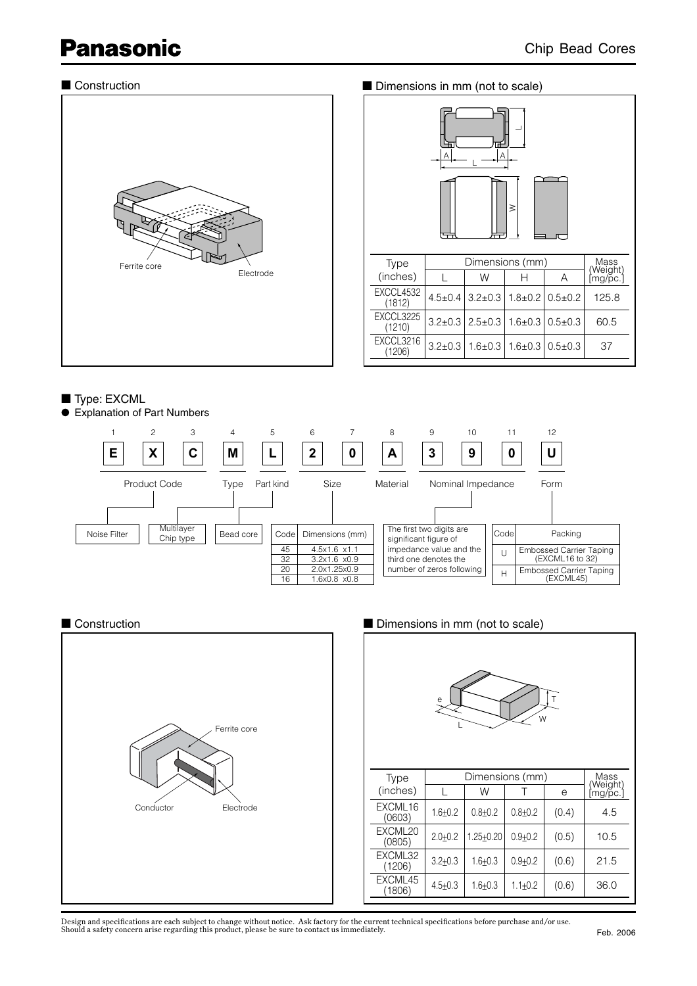# ■ Construction



| Dimensions in mm (not to scale) |               |                 |               |               |                       |  |  |  |
|---------------------------------|---------------|-----------------|---------------|---------------|-----------------------|--|--|--|
| Α                               |               |                 |               |               |                       |  |  |  |
| $\geq$                          |               |                 |               |               |                       |  |  |  |
| <b>Type</b>                     |               | Dimensions (mm) |               |               | Mass                  |  |  |  |
| (inches)                        |               | W               | н             | Α             | (Weight)<br>[mg/p̃c.] |  |  |  |
| <b>EXCCL4532</b><br>(1812)      | $4.5 \pm 0.4$ | $3.2 \pm 0.3$   | $1.8 \pm 0.2$ | $0.5 \pm 0.2$ | 125.8                 |  |  |  |
| EXCCL3225<br>(1210)             | $3.2 \pm 0.3$ | $2.5 \pm 0.3$   | $1.6 \pm 0.3$ | $0.5 \pm 0.3$ | 60.5                  |  |  |  |
| EXCCL3216<br>(1206)             | $3.2 \pm 0.3$ | $1.6 \pm 0.3$   | $1.6 \pm 0.3$ | $0.5 \pm 0.3$ | 37                    |  |  |  |

# ■ Type: EXCML

● Explanation of Part Numbers



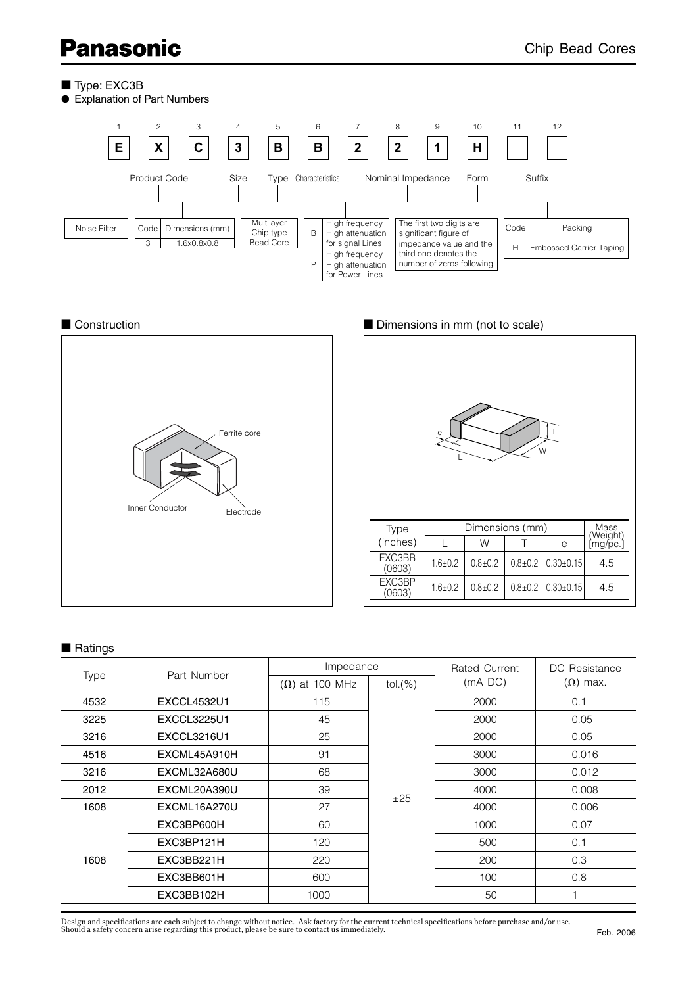- Type: EXC3B
- Explanation of Part Numbers







# ■ Ratings

| Type | Part Number        | Impedance             |          | Rated Current | DC Resistance<br>$(\Omega)$ max. |  |
|------|--------------------|-----------------------|----------|---------------|----------------------------------|--|
|      |                    | $(\Omega)$ at 100 MHz | tol.(% ) | $(mA)$ DC)    |                                  |  |
| 4532 | <b>EXCCL4532U1</b> | 115                   |          | 2000          | 0.1                              |  |
| 3225 | <b>EXCCL3225U1</b> | 45                    | ±25      | 2000          | 0.05                             |  |
| 3216 | EXCCL3216U1        | 25                    |          | 2000          | 0.05                             |  |
| 4516 | EXCML45A910H       | 91                    |          | 3000          | 0.016                            |  |
| 3216 | EXCML32A680U       | 68                    |          | 3000          | 0.012                            |  |
| 2012 | EXCML20A390U       | 39                    |          | 4000          | 0.008                            |  |
| 1608 | EXCML16A270U       | 27                    |          | 4000          | 0.006                            |  |
| 1608 | EXC3BP600H         | 60                    |          | 1000          | 0.07                             |  |
|      | EXC3BP121H         | 120                   |          | 500           | 0.1                              |  |
|      | EXC3BB221H         | 220                   |          | 200           | 0.3                              |  |
|      | EXC3BB601H         | 600                   |          | 100           | 0.8                              |  |
|      | EXC3BB102H         | 1000                  |          | 50            |                                  |  |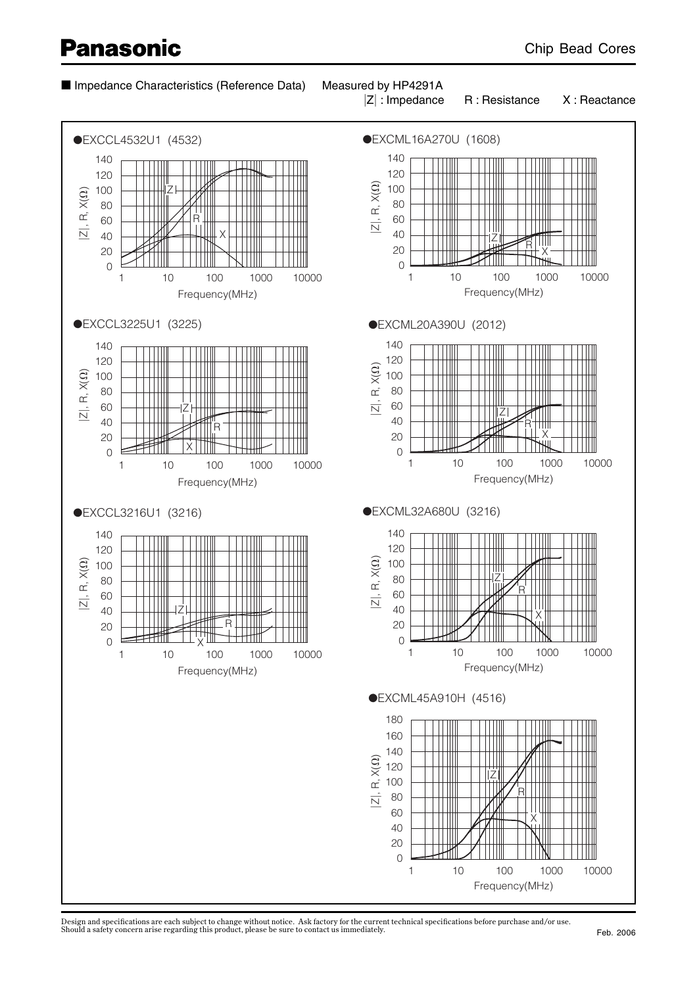# ■ Impedance Characteristics (Reference Data) Measured by HP4291A

# and the state of the state of the state of the state of the state of the state of

 $|Z|$ : Impedance



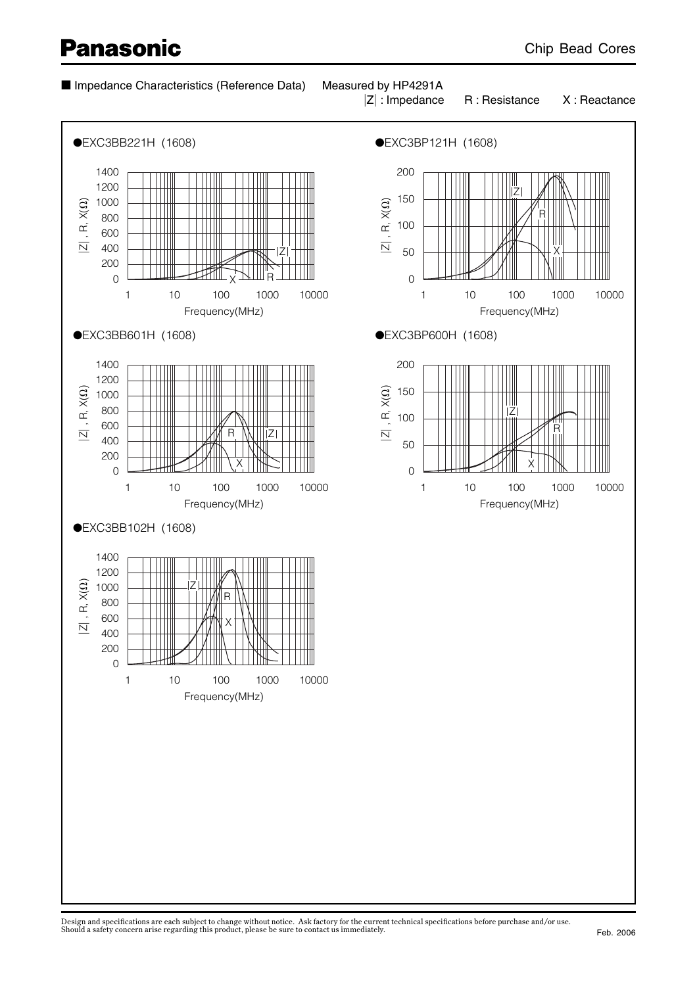# ■ Impedance Characteristics (Reference Data) Measured by HP4291A

# and the state of the state of the state of the state of the state of the state of

 $|Z|$ : Impedance

R : Resistance X : Reactance

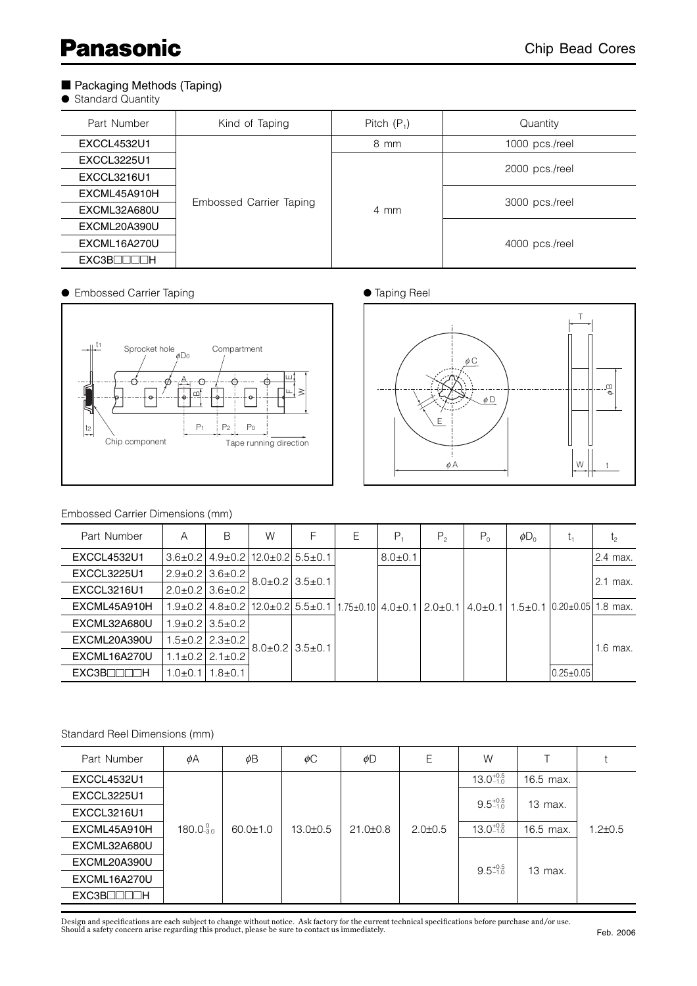# ■ Packaging Methods (Taping)

● Standard Quantity

| Part Number               | Kind of Taping          | Pitch $(P_1)$ | Quantity       |  |  |
|---------------------------|-------------------------|---------------|----------------|--|--|
| <b>EXCCL4532U1</b>        |                         | 8 mm          | 1000 pcs./reel |  |  |
| <b>EXCCL3225U1</b>        |                         |               |                |  |  |
| <b>EXCCL3216U1</b>        |                         |               | 2000 pcs./reel |  |  |
| EXCML45A910H              |                         |               |                |  |  |
| EXCML32A680U              | Embossed Carrier Taping | 4 mm          | 3000 pcs./reel |  |  |
| EXCML20A390U              |                         |               |                |  |  |
| EXCML16A270U              |                         |               | 4000 pcs./reel |  |  |
| EXC3B <sub>1</sub><br>∏ H |                         |               |                |  |  |

● Embossed Carrier Taping <br>● Taping Reel





### Embossed Carrier Dimensions (mm)

| Part Number        | A             | В                                                      | W                         | F | Ε | $P_{4}$       | $P_{2}$                                                                                                          | $P_0$ | $\phi D_0$ | Ŀ1                         | $l_2$      |  |  |  |            |
|--------------------|---------------|--------------------------------------------------------|---------------------------|---|---|---------------|------------------------------------------------------------------------------------------------------------------|-------|------------|----------------------------|------------|--|--|--|------------|
| <b>EXCCL4532U1</b> |               | $3.6\pm0.2$   $4.9\pm0.2$   $12.0\pm0.2$   $5.5\pm0.1$ |                           |   |   | $8.0 \pm 0.1$ |                                                                                                                  |       |            |                            | 2.4 max.   |  |  |  |            |
| <b>EXCCL3225U1</b> |               | $2.9 \pm 0.2$ 3.6 $\pm 0.2$                            |                           |   |   |               |                                                                                                                  |       |            |                            | 2.1 max.   |  |  |  |            |
| <b>EXCCL3216U1</b> |               | $2.0\pm0.2$ 3.6 $\pm0.2$                               | $8.0\pm0.2$ 3.5 $\pm$ 0.1 |   |   |               |                                                                                                                  |       |            |                            |            |  |  |  |            |
| EXCML45A910H       |               |                                                        |                           |   |   |               | $1.9\pm0.2$   $4.8\pm0.2$   $12.0\pm0.2$   $5.5\pm0.1$   $1.75\pm0.10$   $4.0\pm0.1$   $2.0\pm0.1$   $4.0\pm0.1$ |       |            | $1.5\pm0.1$ $10.20\pm0.05$ | $1.8$ max. |  |  |  |            |
| EXCML32A680U       |               | $1.9+0.2$   $3.5+0.2$                                  |                           |   |   |               |                                                                                                                  |       |            |                            |            |  |  |  |            |
| EXCML20A390U       |               | 1.5±0.212.3±0.2                                        | $8.0\pm0.2$   $3.5\pm0.1$ |   |   |               |                                                                                                                  |       |            |                            |            |  |  |  | $1.6$ max. |
| EXCML16A270U       |               | $1.1\pm0.2$   2.1 $\pm0.2$                             |                           |   |   |               |                                                                                                                  |       |            |                            |            |  |  |  |            |
| EXC3B<br>⊪⊪        | $0.0{\pm}0.1$ | $1.8{\pm}0.1$                                          |                           |   |   |               |                                                                                                                  |       |            | $0.25 \pm 0.05$            |            |  |  |  |            |

### Standard Reel Dimensions (mm)

| Part Number                | φA                 | φB             | $\phi$ C       | φD             | Ε             | W                    |           |               |
|----------------------------|--------------------|----------------|----------------|----------------|---------------|----------------------|-----------|---------------|
| <b>EXCCL4532U1</b>         |                    |                |                |                |               | $13.0^{+0.5}_{-1.0}$ | 16.5 max. |               |
| <b>EXCCL3225U1</b>         |                    |                |                |                |               | $9.5^{+0.5}_{-1.0}$  | 13 max.   |               |
| EXCCL3216U1                |                    |                |                |                |               |                      |           |               |
| EXCML45A910H               | $180.0_{-3.0}^{0}$ | $60.0 \pm 1.0$ | $13.0 \pm 0.5$ | $21.0 \pm 0.8$ | $2.0 \pm 0.5$ | $13.0^{+0.5}_{-1.0}$ | 16.5 max. | $1.2 \pm 0.5$ |
| EXCML32A680U               |                    |                |                |                |               |                      |           |               |
| EXCML20A390U               |                    |                |                |                |               | $9.5^{+0.5}_{-1.0}$  | 13 max.   |               |
| EXCML16A270U               |                    |                |                |                |               |                      |           |               |
| EXC3B <sub>IIIII</sub> III |                    |                |                |                |               |                      |           |               |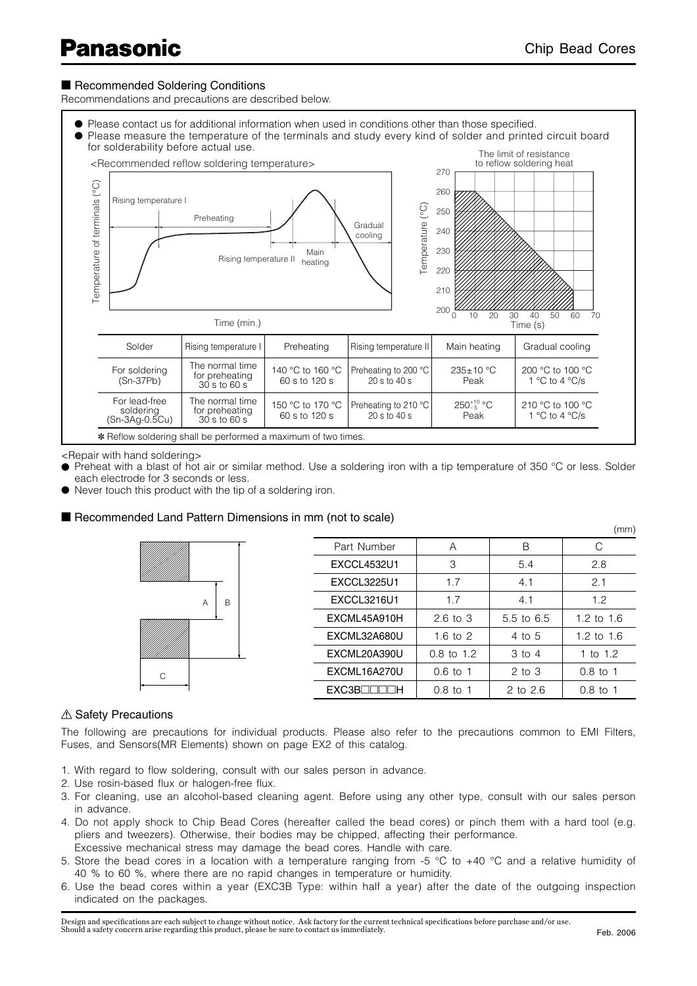# ■ Recommended Soldering Conditions

Recommendations and precautions are described below.



<Repair with hand soldering>

(Sn-3Ag-0.5Cu)

- Preheat with a blast of hot air or similar method. Use a soldering iron with a tip temperature of 350 °C or less. Solder each electrode for 3 seconds or less.
- Never touch this product with the tip of a soldering iron.

### ■ Recommended Land Pattern Dimensions in mm (not to scale)

\* Reflow soldering shall be performed a maximum of two times.

|        |                    |                       |            | (mm)         |
|--------|--------------------|-----------------------|------------|--------------|
|        | Part Number        | A                     | B          |              |
|        | <b>EXCCL4532U1</b> | 3                     | 5.4        | 2.8          |
|        | <b>EXCCL3225U1</b> | 1.7                   | 4.1        | 2.1          |
| B<br>A | <b>EXCCL3216U1</b> | 1.7                   | 4.1        | 1.2          |
|        | EXCML45A910H       | $2.6$ to $3$          | 5.5 to 6.5 | 1.2 to $1.6$ |
|        | EXCML32A680U       | 1.6 to $2$            | 4 to 5     | 1.2 to $1.6$ |
|        | EXCML20A390U       | $0.8 \text{ to } 1.2$ | $3$ to $4$ | 1 to $1.2$   |
| C      | EXCML16A270U       | $0.6 \text{ to } 1$   | $2$ to $3$ | $0.8$ to 1   |
|        | EXC3B              | $0.8$ to 1            | 2 to 2.6   | $0.8$ to 1   |

### $\triangle$  Safety Precautions

The following are precautions for individual products. Please also refer to the precautions common to EMI Filters, Fuses, and Sensors(MR Elements) shown on page EX2 of this catalog.

- 1. With regard to flow soldering, consult with our sales person in advance.
- 2. Use rosin-based flux or halogen-free flux.
- 3. For cleaning, use an alcohol-based cleaning agent. Before using any other type, consult with our sales person in advance.
- 4. Do not apply shock to Chip Bead Cores (hereafter called the bead cores) or pinch them with a hard tool (e.g. pliers and tweezers). Otherwise, their bodies may be chipped, affecting their performance. Excessive mechanical stress may damage the bead cores. Handle with care.
- 5. Store the bead cores in a location with a temperature ranging from -5  $\degree$ C to +40  $\degree$ C and a relative humidity of 40 % to 60 %, where there are no rapid changes in temperature or humidity.
- 6. Use the bead cores within a year (EXC3B Type: within half a year) after the date of the outgoing inspection indicated on the packages.